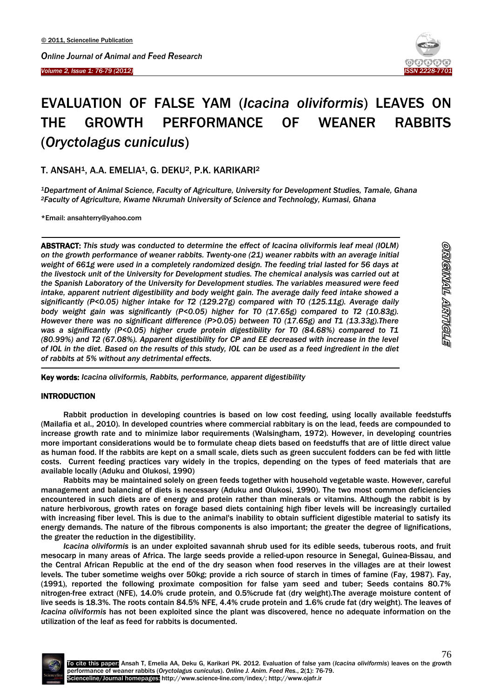*Volume 2, Issue 1: 76-79 (2012)*  Ī



# EVALUATION OF FALSE YAM (*Icacina oliviformis*) LEAVES ON THE GROWTH PERFORMANCE OF WEANER RABBITS (*Oryctolagus cuniculus*)

## T. ANSAH<sup>1</sup>, A.A. EMELIA<sup>1</sup>, G. DEKU<sup>2</sup>, P.K. KARIKARI<sup>2</sup>

*<sup>1</sup>Department of Animal Science, Faculty of Agriculture, University for Development Studies, Tamale, Ghana <sup>2</sup>Faculty of Agriculture, Kwame Nkrumah University of Science and Technology, Kumasi, Ghana*

\*Email: ansahterry@yahoo.com

 $\overline{\phantom{a}}$ 

ABSTRACT: *This study was conducted to determine the effect of Icacina oliviformis leaf meal (IOLM) on the growth performance of weaner rabbits. Twenty-one (21) weaner rabbits with an average initial weight of 661g were used in a completely randomized design. The feeding trial lasted for 56 days at the livestock unit of the University for Development studies. The chemical analysis was carried out at the Spanish Laboratory of the University for Development studies. The variables measured were feed intake, apparent nutrient digestibility and body weight gain. The average daily feed intake showed a significantly (P<0.05) higher intake for T2 (129.27g) compared with T0 (125.11g). Average daily body weight gain was significantly (P<0.05) higher for T0 (17.65g) compared to T2 (10.83g). However there was no significant difference (P>0.05) between T0 (17.65g) and T1 (13.33g).There was a significantly (P<0.05) higher crude protein digestibility for T0 (84.68%) compared to T1 (80.99%) and T2 (67.08%). Apparent digestibility for CP and EE decreased with increase in the level of IOL in the diet. Based on the results of this study, IOL can be used as a feed ingredient in the diet of rabbits at 5% without any detrimental effects.* 

Key words: *Icacina oliviformis, Rabbits, performance, apparent digestibility*

## INTRODUCTION

 $\overline{a}$ 

Rabbit production in developing countries is based on low cost feeding, using locally available feedstuffs (Mailafia et al., 2010). In developed countries where commercial rabbitary is on the lead, feeds are compounded to increase growth rate and to minimize labor requirements (Walsingham, 1972). However, in developing countries more important considerations would be to formulate cheap diets based on feedstuffs that are of little direct value as human food. If the rabbits are kept on a small scale, diets such as green succulent fodders can be fed with little costs. Current feeding practices vary widely in the tropics, depending on the types of feed materials that are available locally (Aduku and Olukosi, 1990)

Rabbits may be maintained solely on green feeds together with household vegetable waste. However, careful management and balancing of diets is necessary (Aduku and Olukosi, 1990). The two most common deficiencies encountered in such diets are of energy and protein rather than minerals or vitamins. Although the rabbit is by nature herbivorous, growth rates on forage based diets containing high fiber levels will be increasingly curtailed with increasing fiber level. This is due to the animal's inability to obtain sufficient digestible material to satisfy its energy demands. The nature of the fibrous components is also important; the greater the degree of lignifications, the greater the reduction in the digestibility.

*Icacina oliviformis* is an under exploited savannah shrub used for its edible seeds, tuberous roots, and fruit mesocarp in many areas of Africa. The large seeds provide a relied-upon resource in Senegal, Guinea-Bissau, and the Central African Republic at the end of the dry season when food reserves in the villages are at their lowest levels. The tuber sometime weighs over 50kg; provide a rich source of starch in times of famine (Fay, 1987). Fay, (1991), reported the following proximate composition for false yam seed and tuber; Seeds contains 80.7% nitrogen-free extract (NFE), 14.0% crude protein, and 0.5%crude fat (dry weight).The average moisture content of live seeds is 18.3%. The roots contain 84.5% NFE, 4.4% crude protein and 1.6% crude fat (dry weight). The leaves of *Icacina oliviformis* has not been exploited since the plant was discovered, hence no adequate information on the utilization of the leaf as feed for rabbits is documented.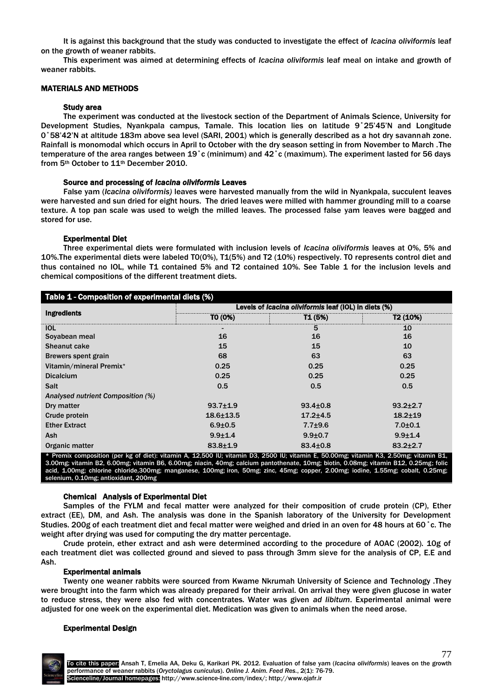It is against this background that the study was conducted to investigate the effect of *Icacina oliviformis* leaf on the growth of weaner rabbits.

This experiment was aimed at determining effects of *Icacina oliviformis* leaf meal on intake and growth of weaner rabbits.

#### MATERIALS AND METHODS

#### Study area

The experiment was conducted at the livestock section of the Department of Animals Science, University for Development Studies, Nyankpala campus, Tamale. This location lies on latitude 9˚25'45'N and Longitude 0˚58'42'N at altitude 183m above sea level (SARI, 2001) which is generally described as a hot dry savannah zone. Rainfall is monomodal which occurs in April to October with the dry season setting in from November to March .The temperature of the area ranges between 19˚c (minimum) and 42˚c (maximum). The experiment lasted for 56 days from 5th October to 11th December 2010.

#### Source and processing of *Icacina oliviformis* Leaves

False yam (*Icacina oliviformis)* leaves were harvested manually from the wild in Nyankpala, succulent leaves were harvested and sun dried for eight hours. The dried leaves were milled with hammer grounding mill to a coarse texture. A top pan scale was used to weigh the milled leaves. The processed false yam leaves were bagged and stored for use.

## Experimental Diet

Three experimental diets were formulated with inclusion levels of *Icacina oliviformis* leaves at 0%, 5% and 10%.The experimental diets were labeled T0(0%), T1(5%) and T2 (10%) respectively. T0 represents control diet and thus contained no IOL, while T1 contained 5% and T2 contained 10%. See Table 1 for the inclusion levels and chemical compositions of the different treatment diets.

| Table 1 - Composition of experimental diets (%) |                                                       |                |                      |  |  |  |
|-------------------------------------------------|-------------------------------------------------------|----------------|----------------------|--|--|--|
| <b>Ingredients</b>                              | Levels of Icacina oliviformis leaf (IOL) in diets (%) |                |                      |  |  |  |
|                                                 | TO (0%)                                               | T1 (5%)        | T <sub>2</sub> (10%) |  |  |  |
| <b>IOL</b>                                      |                                                       | 5              | 10                   |  |  |  |
| Soyabean meal                                   | 16                                                    | 16             | 16                   |  |  |  |
| <b>Sheanut cake</b>                             | 15                                                    | 15             | 10                   |  |  |  |
| Brewers spent grain                             | 68                                                    | 63             | 63                   |  |  |  |
| Vitamin/mineral Premix*                         | 0.25                                                  | 0.25           | 0.25                 |  |  |  |
| <b>Dicalcium</b>                                | 0.25                                                  | 0.25           | 0.25                 |  |  |  |
| <b>Salt</b>                                     | 0.5                                                   | 0.5            | 0.5                  |  |  |  |
| Analysed nutrient Composition (%)               |                                                       |                |                      |  |  |  |
| Dry matter                                      | $93.7{\pm}1.9$                                        | $93.4 \pm 0.8$ | $93.2 \pm 2.7$       |  |  |  |
| Crude protein                                   | $18.6 \pm 13.5$                                       | $17.2 + 4.5$   | $18.2 \pm 19$        |  |  |  |
| <b>Ether Extract</b>                            | $6.9{\pm}0.5$                                         | $7.7 + 9.6$    | $7.0 + 0.1$          |  |  |  |
| <b>Ash</b>                                      | $9.9 + 1.4$                                           | $9.9{\pm}0.7$  | $9.9 + 1.4$          |  |  |  |
| Organic matter                                  | $83.8 \pm 1.9$                                        | $83.4 \pm 0.8$ | $83.2 \pm 2.7$       |  |  |  |

Premix composition (per kg of diet): vitamin A, 12,500 IU; vitamin D3, 2500 IU; vitamin E, 50.00mg; vitamin K3, 2.50mg; vitamin B1, 3.00mg; vitamin B2, 6.00mg; vitamin B6, 6.00mg; niacin, 40mg; calcium pantothenate, 10mg; biotin, 0.08mg; vitamin B12, 0.25mg; folic acid, 1.00mg; chlorine chloride,300mg; manganese, 100mg; iron, 50mg; zinc, 45mg; copper, 2.00mg; iodine, 1.55mg; cobalt, 0.25mg; selenium, 0.10mg; antioxidant, 200mg

## Chemical Analysis of Experimental Diet

Samples of the FYLM and fecal matter were analyzed for their composition of crude protein (CP), Ether extract (EE), DM, and Ash. The analysis was done in the Spanish laboratory of the University for Development Studies. 200g of each treatment diet and fecal matter were weighed and dried in an oven for 48 hours at 60˚c. The weight after drying was used for computing the dry matter percentage.

Crude protein, ether extract and ash were determined according to the procedure of AOAC (2002). 10g of each treatment diet was collected ground and sieved to pass through 3mm sieve for the analysis of CP, E.E and Ash.

#### Experimental animals

Twenty one weaner rabbits were sourced from Kwame Nkrumah University of Science and Technology .They were brought into the farm which was already prepared for their arrival. On arrival they were given glucose in water to reduce stress, they were also fed with concentrates. Water was given *ad libitum*. Experimental animal were adjusted for one week on the experimental diet. Medication was given to animals when the need arose.

#### Experimental Design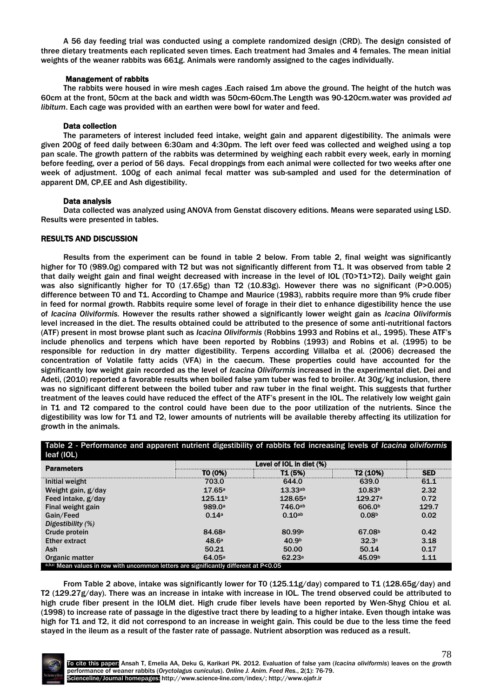A 56 day feeding trial was conducted using a complete randomized design (CRD). The design consisted of three dietary treatments each replicated seven times. Each treatment had 3males and 4 females. The mean initial weights of the weaner rabbits was 661g. Animals were randomly assigned to the cages individually.

## Management of rabbits

The rabbits were housed in wire mesh cages .Each raised 1m above the ground. The height of the hutch was 60cm at the front, 50cm at the back and width was 50cm-60cm.The Length was 90-120cm.water was provided *ad libitum*. Each cage was provided with an earthen were bowl for water and feed.

#### Data collection

The parameters of interest included feed intake, weight gain and apparent digestibility. The animals were given 200g of feed daily between 6:30am and 4:30pm. The left over feed was collected and weighed using a top pan scale. The growth pattern of the rabbits was determined by weighing each rabbit every week, early in morning before feeding, over a period of 56 days. Fecal droppings from each animal were collected for two weeks after one week of adjustment. 100g of each animal fecal matter was sub-sampled and used for the determination of apparent DM, CP,EE and Ash digestibility.

#### Data analysis

Data collected was analyzed using ANOVA from Genstat discovery editions. Means were separated using LSD. Results were presented in tables.

#### RESULTS AND DISCUSSION

Results from the experiment can be found in table 2 below. From table 2, final weight was significantly higher for T0 (989.0g) compared with T2 but was not significantly different from T1. It was observed from table 2 that daily weight gain and final weight decreased with increase in the level of IOL (T0>T1>T2). Daily weight gain was also significantly higher for T0 (17.65g) than T2 (10.83g). However there was no significant (P>0.005) difference between T0 and T1. According to Champe and Maurice (1983), rabbits require more than 9% crude fiber in feed for normal growth. Rabbits require some level of forage in their diet to enhance digestibility hence the use of *Icacina Oliviformis.* However the results rather showed a significantly lower weight gain as *Icacina Oliviformis*  level increased in the diet. The results obtained could be attributed to the presence of some anti-nutritional factors (ATF) present in most browse plant such as *Icacina Oliviformis* (Robbins 1993 and Robins et al., 1995). These ATF's include phenolics and terpens which have been reported by Robbins (1993) and Robins et al. (1995) to be responsible for reduction in dry matter digestibility. Terpens according Villalba et al*.* (2006) decreased the concentration of Volatile fatty acids (VFA) in the caecum. These properties could have accounted for the significantly low weight gain recorded as the level of *Icacina Oliviformis* increased in the experimental diet. Dei and Adeti, (2010) reported a favorable results when boiled false yam tuber was fed to broiler. At 30g/kg inclusion, there was no significant different between the boiled tuber and raw tuber in the final weight. This suggests that further treatment of the leaves could have reduced the effect of the ATF's present in the IOL. The relatively low weight gain in T1 and T2 compared to the control could have been due to the poor utilization of the nutrients. Since the digestibility was low for T1 and T2, lower amounts of nutrients will be available thereby affecting its utilization for growth in the animals.

| Table 2 - Performance and apparent nutrient digestibility of rabbits fed increasing levels of Icacina oliviformis<br>leaf (IOL) |                          |                     |                     |            |  |
|---------------------------------------------------------------------------------------------------------------------------------|--------------------------|---------------------|---------------------|------------|--|
| <b>Parameters</b>                                                                                                               | Level of IOL in diet (%) |                     |                     |            |  |
|                                                                                                                                 | TO (0%)                  | T1 (5%)             | T2 (10%)            | <b>SED</b> |  |
| Initial weight                                                                                                                  | 703.0                    | 644.0               | 639.0               | 61.1       |  |
| Weight gain, g/day                                                                                                              | 17.65a                   | 13.33a <sub>b</sub> | 10.83 <sup>b</sup>  | 2.32       |  |
| Feed intake, g/day                                                                                                              | 125.11 <sup>b</sup>      | 128.65a             | 129.27 <sup>a</sup> | 0.72       |  |
| Final weight gain                                                                                                               | 989.0 <sup>a</sup>       | 746.0ab             | 606.0 <sup>b</sup>  | 129.7      |  |
| Gain/Feed                                                                                                                       | 0.14a                    | 0.10a <sub>b</sub>  | 0.08 <sup>b</sup>   | 0.02       |  |
| Digestibility (%)                                                                                                               |                          |                     |                     |            |  |
| Crude protein                                                                                                                   | 84.68 <sup>a</sup>       | 80.99 <sup>b</sup>  | 67.08 <sup>b</sup>  | 0.42       |  |
| <b>Ether extract</b>                                                                                                            | 48.6a                    | 40.9 <sup>b</sup>   | 32.3c               | 3.18       |  |
| Ash                                                                                                                             | 50.21                    | 50.00               | 50.14               | 0.17       |  |
| Organic matter                                                                                                                  | 64.05a                   | 62.23a              | 45.09 <sup>b</sup>  | 1.11       |  |
| a,b,c: Mean values in row with uncommon letters are significantly different at P<0.05                                           |                          |                     |                     |            |  |

From Table 2 above, intake was significantly lower for T0 (125.11g/day) compared to T1 (128.65g/day) and T2 (129.27g/day). There was an increase in intake with increase in IOL. The trend observed could be attributed to high crude fiber present in the IOLM diet. High crude fiber levels have been reported by Wen-Shyg Chiou et al*.*  (1998) to increase rate of passage in the digestive tract there by leading to a higher intake. Even though intake was high for T1 and T2, it did not correspond to an increase in weight gain. This could be due to the less time the feed stayed in the ileum as a result of the faster rate of passage. Nutrient absorption was reduced as a result.